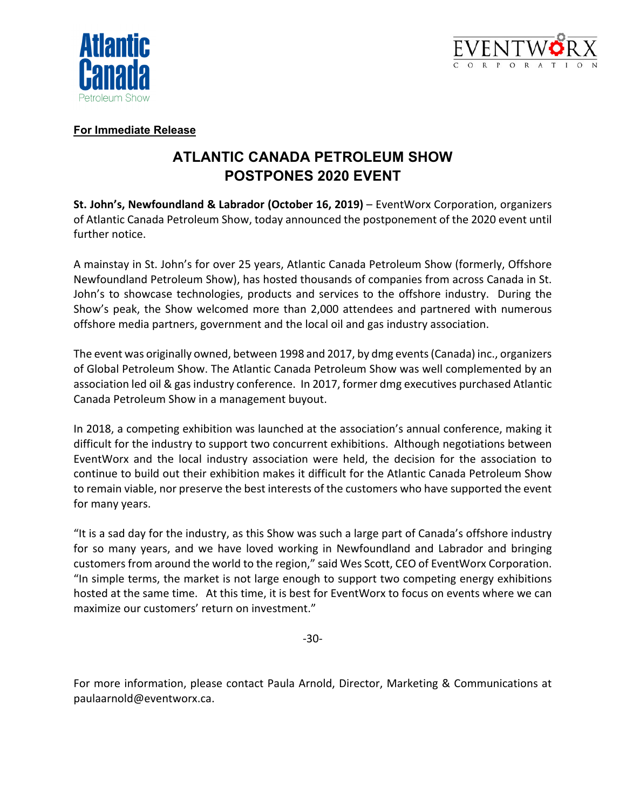



## **For Immediate Release**

## **ATLANTIC CANADA PETROLEUM SHOW POSTPONES 2020 EVENT**

**St. John's, Newfoundland & Labrador (October 16, 2019)** – EventWorx Corporation, organizers of Atlantic Canada Petroleum Show, today announced the postponement of the 2020 event until further notice.

A mainstay in St. John's for over 25 years, Atlantic Canada Petroleum Show (formerly, Offshore Newfoundland Petroleum Show), has hosted thousands of companies from across Canada in St. John's to showcase technologies, products and services to the offshore industry. During the Show's peak, the Show welcomed more than 2,000 attendees and partnered with numerous offshore media partners, government and the local oil and gas industry association.

The event was originally owned, between 1998 and 2017, by dmg events (Canada) inc., organizers of Global Petroleum Show. The Atlantic Canada Petroleum Show was well complemented by an association led oil & gas industry conference. In 2017, former dmg executives purchased Atlantic Canada Petroleum Show in a management buyout.

In 2018, a competing exhibition was launched at the association's annual conference, making it difficult for the industry to support two concurrent exhibitions. Although negotiations between EventWorx and the local industry association were held, the decision for the association to continue to build out their exhibition makes it difficult for the Atlantic Canada Petroleum Show to remain viable, nor preserve the best interests of the customers who have supported the event for many years.

"It is a sad day for the industry, as this Show was such a large part of Canada's offshore industry for so many years, and we have loved working in Newfoundland and Labrador and bringing customers from around the world to the region," said Wes Scott, CEO of EventWorx Corporation. "In simple terms, the market is not large enough to support two competing energy exhibitions hosted at the same time. At this time, it is best for EventWorx to focus on events where we can maximize our customers' return on investment."

‐30‐

For more information, please contact Paula Arnold, Director, Marketing & Communications at paulaarnold@eventworx.ca.